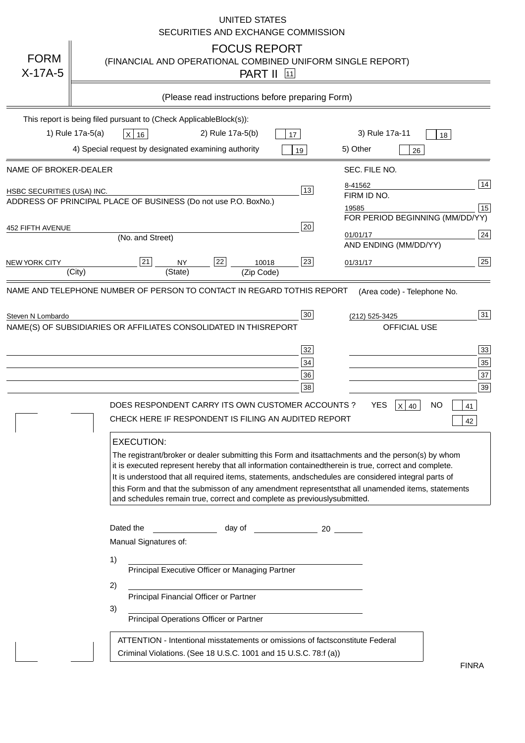|                                   | <b>UNITED STATES</b><br>SECURITIES AND EXCHANGE COMMISSION                                                                                                                                                                                                                                                                                                                                                                                                                                                                                                                                                                                                       |
|-----------------------------------|------------------------------------------------------------------------------------------------------------------------------------------------------------------------------------------------------------------------------------------------------------------------------------------------------------------------------------------------------------------------------------------------------------------------------------------------------------------------------------------------------------------------------------------------------------------------------------------------------------------------------------------------------------------|
| <b>FORM</b><br>$X-17A-5$          | <b>FOCUS REPORT</b><br>(FINANCIAL AND OPERATIONAL COMBINED UNIFORM SINGLE REPORT)<br><b>PART II</b> 11                                                                                                                                                                                                                                                                                                                                                                                                                                                                                                                                                           |
|                                   | (Please read instructions before preparing Form)                                                                                                                                                                                                                                                                                                                                                                                                                                                                                                                                                                                                                 |
|                                   | This report is being filed pursuant to (Check Applicable<br>$Block(s)$ :<br>3) Rule 17a-11<br>1) Rule 17a-5(a)<br>2) Rule 17a-5(b)<br>$X$ 16<br>17<br>18<br>4) Special request by designated examining authority<br>5) Other<br>19<br>26                                                                                                                                                                                                                                                                                                                                                                                                                         |
| NAME OF BROKER-DEALER             | SEC. FILE NO.                                                                                                                                                                                                                                                                                                                                                                                                                                                                                                                                                                                                                                                    |
| <b>HSBC SECURITIES (USA) INC.</b> | 14<br>8-41562<br>13<br>FIRM ID NO.<br>ADDRESS OF PRINCIPAL PLACE OF BUSINESS (Do not use P.O. Box<br>No.)<br>15<br>19585<br>FOR PERIOD BEGINNING (MM/DD/YY)                                                                                                                                                                                                                                                                                                                                                                                                                                                                                                      |
| <b>452 FIFTH AVENUE</b>           | 20<br>24<br>01/01/17<br>(No. and Street)<br>AND ENDING (MM/DD/YY)                                                                                                                                                                                                                                                                                                                                                                                                                                                                                                                                                                                                |
| <b>NEW YORK CITY</b>              | 25<br>22<br>21<br>23<br><b>NY</b><br>10018<br>01/31/17<br>(City)<br>(State)<br>(Zip Code)                                                                                                                                                                                                                                                                                                                                                                                                                                                                                                                                                                        |
|                                   | NAME(S) OF SUBSIDIARIES OR AFFILIATES CONSOLIDATED IN THIS<br><b>OFFICIAL USE</b><br>$\overline{33}$<br>32<br>35<br>34<br>37<br>36<br>39<br>38<br>DOES RESPONDENT CARRY ITS OWN CUSTOMER ACCOUNTS?<br><b>YES</b><br>$X$ 40<br><b>NO</b><br>41<br>CHECK HERE IF RESPONDENT IS FILING AN AUDITED REPORT<br>42<br><b>EXECUTION:</b><br>The registrant/broker or dealer submitting this Form and its<br>attachments and the person(s) by whom<br>it is executed represent hereby that all information contained<br>therein is true, correct and complete.<br>It is understood that all required items, statements, and<br>schedules are considered integral parts of |
|                                   | this Form and that the submisson of any amendment represents<br>that all unamended items, statements<br>and schedules remain true, correct and complete as previously<br>submitted.<br>Dated the<br>day of<br>20<br>Manual Signatures of:<br>1)<br>Principal Executive Officer or Managing Partner<br>2)<br>Principal Financial Officer or Partner<br>3)<br>Principal Operations Officer or Partner                                                                                                                                                                                                                                                              |
|                                   | ATTENTION - Intentional misstatements or omissions of facts<br>constitute Federal<br>Criminal Violations. (See 18 U.S.C. 1001 and 15 U.S.C. 78:f (a)<br>$\lambda$<br><b>FINRA</b>                                                                                                                                                                                                                                                                                                                                                                                                                                                                                |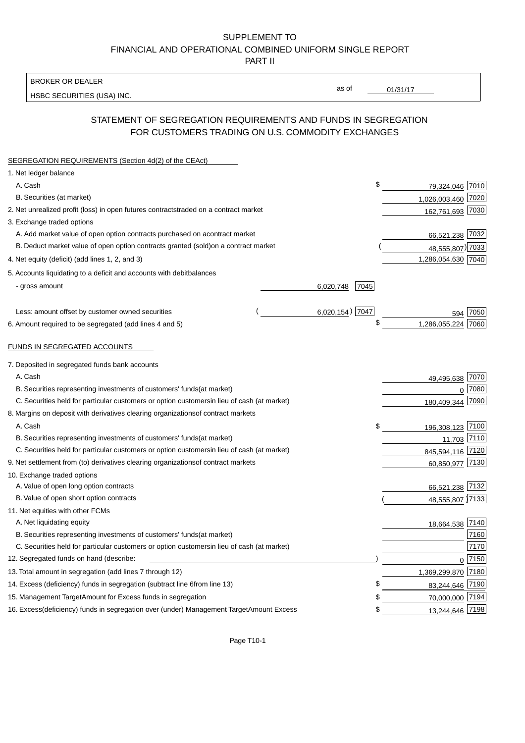BROKER OR DEALER

HSBC SECURITIES (USA) INC.

 $01/31/17$ 

as of

## STATEMENT OF SEGREGATION REQUIREMENTS AND FUNDS IN SEGREGATION FOR CUSTOMERS TRADING ON U.S. COMMODITY EXCHANGES

| SEGREGATION REQUIREMENTS (Section 4d(2) of the CEAct)                                          |                   |                    |          |
|------------------------------------------------------------------------------------------------|-------------------|--------------------|----------|
| 1. Net ledger balance                                                                          |                   |                    |          |
| A. Cash                                                                                        | \$                | 79,324,046 7010    |          |
| B. Securities (at market)                                                                      |                   | 1,026,003,460 7020 |          |
| 2. Net unrealized profit (loss) in open futures contracts<br>traded on a contract market       |                   | 162,761,693 7030   |          |
| 3. Exchange traded options                                                                     |                   |                    |          |
| A. Add market value of open option contracts purchased on a<br>contract market                 |                   | 66,521,238 7032    |          |
| B. Deduct market value of open option contracts granted (sold)<br>on a contract market         |                   | 48,555,807) 7033   |          |
| 4. Net equity (deficit) (add lines 1, 2, and 3)                                                |                   | 1,286,054,630 7040 |          |
| 5. Accounts liquidating to a deficit and accounts with debit<br>balances                       |                   |                    |          |
| - gross amount                                                                                 | 7045<br>6,020,748 |                    |          |
|                                                                                                |                   |                    |          |
| Less: amount offset by customer owned securities                                               | $6,020,154)$ 7047 | 594                | 7050     |
| 6. Amount required to be segregated (add lines 4 and 5)                                        | \$                | 1,286,055,224      | 7060     |
|                                                                                                |                   |                    |          |
| FUNDS IN SEGREGATED ACCOUNTS                                                                   |                   |                    |          |
| 7. Deposited in segregated funds bank accounts                                                 |                   |                    |          |
| A. Cash                                                                                        |                   | 49,495,638 7070    |          |
| B. Securities representing investments of customers' funds<br>(at market)                      |                   | $\Omega$           | 7080     |
| C. Securities held for particular customers or option customers<br>in lieu of cash (at market) |                   | 180,409,344        | 7090     |
| 8. Margins on deposit with derivatives clearing organizations<br>of contract markets           |                   |                    |          |
| A. Cash                                                                                        | \$                | 196,308,123 7100   |          |
| B. Securities representing investments of customers' funds<br>(at market)                      |                   | 11,703 7110        |          |
| C. Securities held for particular customers or option customers<br>in lieu of cash (at market) |                   | 845,594,116 7120   |          |
| 9. Net settlement from (to) derivatives clearing organizations<br>of contract markets          |                   | 60,850,977 7130    |          |
| 10. Exchange traded options                                                                    |                   |                    |          |
| A. Value of open long option contracts                                                         |                   | 66,521,238 7132    |          |
| B. Value of open short option contracts                                                        |                   | 48,555,807 7133    |          |
| 11. Net equities with other FCMs                                                               |                   |                    |          |
| A. Net liquidating equity                                                                      |                   | 18,664,538 7140    |          |
| B. Securities representing investments of customers' funds<br>(at market)                      |                   |                    | 7160     |
| C. Securities held for particular customers or option customers<br>in lieu of cash (at market) |                   |                    | 7170     |
| 12. Segregated funds on hand (describe:                                                        |                   |                    | $0$ 7150 |
| 13. Total amount in segregation (add lines 7 through 12)                                       |                   | 1,369,299,870 7180 |          |
| 14. Excess (deficiency) funds in segregation (subtract line 6<br>from line 13)                 | £                 | 83,244,646 7190    |          |
| 15. Management Target Amount for Excess funds in segregation                                   | S                 | 70,000,000 7194    |          |
| 16. Excess (deficiency) funds in segregation over (under) Management Target Amount Excess      | \$                | 13,244,646 7198    |          |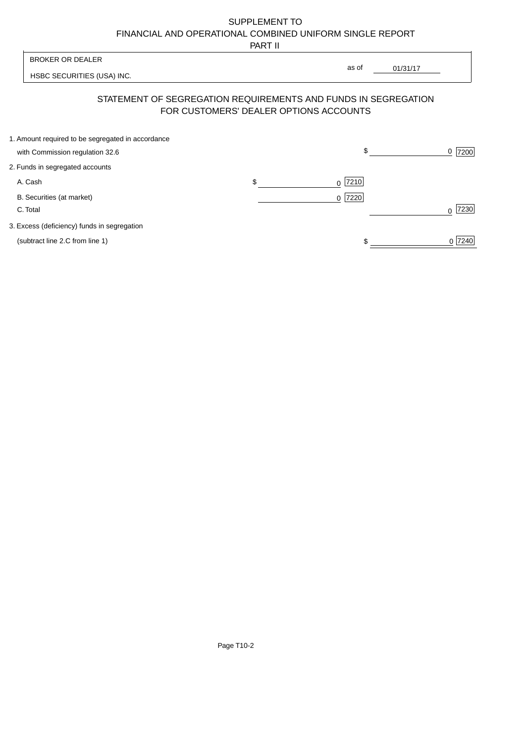PART II

 $\overline{\phantom{a}}$ 

| <b>BROKER OR DEALER</b>                                                                                  | as of             |          |           |
|----------------------------------------------------------------------------------------------------------|-------------------|----------|-----------|
| HSBC SECURITIES (USA) INC.                                                                               |                   | 01/31/17 |           |
| STATEMENT OF SEGREGATION REQUIREMENTS AND FUNDS IN SEGREGATION<br>FOR CUSTOMERS' DEALER OPTIONS ACCOUNTS |                   |          |           |
| 1. Amount required to be segregated in accordance<br>with Commission regulation 32.6                     | \$                |          | 7200<br>0 |
| 2. Funds in segregated accounts                                                                          |                   |          |           |
| A. Cash                                                                                                  | \$<br> 7210 <br>0 |          |           |
| B. Securities (at market)<br>C. Total                                                                    | 7220<br>0         |          | 7230<br>U |
| 3. Excess (deficiency) funds in segregation                                                              |                   |          |           |
| (subtract line 2.C from line 1)                                                                          |                   |          | 0 7240    |

 $\overline{1}$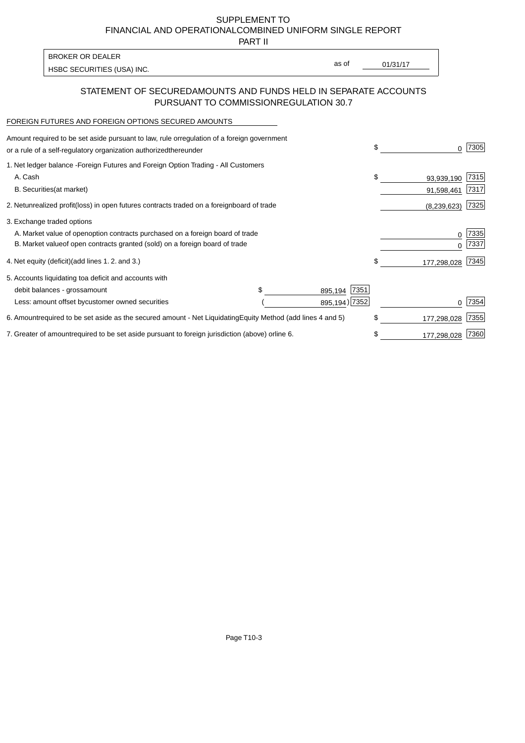PART II

as of

HSBC SECURITIES (USA) INC. The state of the second of the second of the second of the second of the second of the second of the second of the second of the second of the second of the second of the second of the second of

## STATEMENT OF SECURED AMOUNTS AND FUNDS HELD IN SEPARATE ACCOUNTS PURSUANT TO COMMISSION REGULATION 30.7

#### FOREIGN FUTURES AND FOREIGN OPTIONS SECURED AMOUNTS

BROKER OR DEALER

| Amount required to be set aside pursuant to law, rule or<br>regulation of a foreign government<br>or a rule of a self-regulatory organization authorized<br>thereunder |                                   |                 | \$<br>O.          | 7305         |
|------------------------------------------------------------------------------------------------------------------------------------------------------------------------|-----------------------------------|-----------------|-------------------|--------------|
| 1. Net ledger balance - Foreign Futures and Foreign Option Trading - All Customers<br>A. Cash                                                                          |                                   |                 | \$<br>93,939,190  | 7315         |
| <b>B.</b> Securities<br>(at market)                                                                                                                                    |                                   |                 | 91,598,461        | 7317         |
| 2. Net unrealized profit (loss) in open futures contracts traded on a foreign                                                                                          | board of trade                    |                 | (8,239,623)       | 7325         |
| 3. Exchange traded options                                                                                                                                             |                                   |                 |                   |              |
| A. Market value of open option contracts purchased on a foreign board of trade<br>B. Market value of open contracts granted (sold) on a foreign board of trade         |                                   |                 | 0<br><sup>0</sup> | 7335<br>7337 |
| 4. Net equity (deficit) (add lines 1.2. and 3.)                                                                                                                        |                                   |                 | \$<br>177,298,028 | 7345         |
| 5. Accounts liquidating to a deficit and accounts with                                                                                                                 |                                   |                 |                   |              |
| debit balances - gross<br>amount                                                                                                                                       |                                   | 7351<br>895,194 |                   |              |
| Less: amount offset by customer owned securities                                                                                                                       |                                   | 895,194) 7352   |                   | 7354         |
| 6. Amount required to be set aside as the secured amount - Net Liquidating                                                                                             | Equity Method (add lines 4 and 5) |                 | \$<br>177,298,028 | 7355         |
| 7. Greater of amount required to be set aside pursuant to foreign jurisdiction (above) or                                                                              | line 6.                           |                 | \$<br>177,298,028 | 7360         |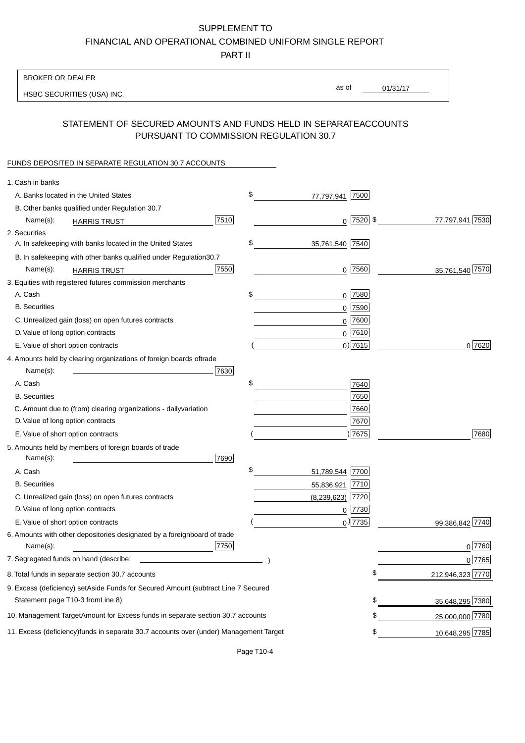PART II

| <b>BROKER OR DEALER</b>                                                                                                                                                                                                                                                        |                          |                 |                  |                 |
|--------------------------------------------------------------------------------------------------------------------------------------------------------------------------------------------------------------------------------------------------------------------------------|--------------------------|-----------------|------------------|-----------------|
| HSBC SECURITIES (USA) INC.                                                                                                                                                                                                                                                     | as of                    | 01/31/17        |                  |                 |
|                                                                                                                                                                                                                                                                                |                          |                 |                  |                 |
| STATEMENT OF SECURED AMOUNTS AND FUNDS HELD IN SEPARATE<br>PURSUANT TO COMMISSION REGULATION 30.7                                                                                                                                                                              |                          | <b>ACCOUNTS</b> |                  |                 |
| FUNDS DEPOSITED IN SEPARATE REGULATION 30.7 ACCOUNTS                                                                                                                                                                                                                           |                          |                 |                  |                 |
| 1. Cash in banks                                                                                                                                                                                                                                                               |                          |                 |                  |                 |
| A. Banks located in the United States                                                                                                                                                                                                                                          | \$<br>7500<br>77,797,941 |                 |                  |                 |
| B. Other banks qualified under Regulation 30.7                                                                                                                                                                                                                                 |                          |                 |                  |                 |
| 7510<br>Name(s):<br><b>HARRIS TRUST</b>                                                                                                                                                                                                                                        | $0$ 7520 \$              |                 |                  | 77,797,941 7530 |
| 2. Securities                                                                                                                                                                                                                                                                  |                          |                 |                  |                 |
| A. In safekeeping with banks located in the United States                                                                                                                                                                                                                      | \$<br>35,761,540 7540    |                 |                  |                 |
| B. In safekeeping with other banks qualified under Regulation<br>30.7                                                                                                                                                                                                          |                          |                 |                  |                 |
| 7550<br>Name(s):<br><b>HARRIS TRUST</b>                                                                                                                                                                                                                                        | $0$ 7560                 |                 |                  | 35,761,540 7570 |
| 3. Equities with registered futures commission merchants                                                                                                                                                                                                                       |                          |                 |                  |                 |
| A. Cash                                                                                                                                                                                                                                                                        | \$<br>$0$ 7580           |                 |                  |                 |
| <b>B.</b> Securities                                                                                                                                                                                                                                                           | 7590<br>0                |                 |                  |                 |
| C. Unrealized gain (loss) on open futures contracts                                                                                                                                                                                                                            | 7600<br>0                |                 |                  |                 |
| D. Value of long option contracts                                                                                                                                                                                                                                              | $0$ 7610                 |                 |                  |                 |
| E. Value of short option contracts                                                                                                                                                                                                                                             | $0)$ 7615                |                 |                  | 0 7620          |
| 4. Amounts held by clearing organizations of foreign boards of<br>trade                                                                                                                                                                                                        |                          |                 |                  |                 |
| Name(s):<br>7630                                                                                                                                                                                                                                                               |                          |                 |                  |                 |
| A. Cash                                                                                                                                                                                                                                                                        | \$<br>7640               |                 |                  |                 |
| <b>B.</b> Securities                                                                                                                                                                                                                                                           | 7650                     |                 |                  |                 |
| C. Amount due to (from) clearing organizations - daily<br>variation                                                                                                                                                                                                            | 7660                     |                 |                  |                 |
| D. Value of long option contracts                                                                                                                                                                                                                                              | 7670                     |                 |                  |                 |
| E. Value of short option contracts                                                                                                                                                                                                                                             | ) 7675                   |                 |                  | 7680            |
| 5. Amounts held by members of foreign boards of trade<br>Name(s):<br>7690                                                                                                                                                                                                      |                          |                 |                  |                 |
| A. Cash                                                                                                                                                                                                                                                                        | \$<br>51,789,544 7700    |                 |                  |                 |
| <b>B.</b> Securities                                                                                                                                                                                                                                                           | 55,836,921<br> 7710      |                 |                  |                 |
| C. Unrealized gain (loss) on open futures contracts                                                                                                                                                                                                                            | $(8,239,623)$ 7720       |                 |                  |                 |
| D. Value of long option contracts                                                                                                                                                                                                                                              | $0$  7730                |                 |                  |                 |
| E. Value of short option contracts                                                                                                                                                                                                                                             | $_0$ ) 7735              |                 |                  | 99,386,842 7740 |
| 6. Amounts with other depositories designated by a foreign<br>board of trade<br>7750<br>Name(s):                                                                                                                                                                               |                          |                 |                  | 0 7760          |
| 7. Segregated funds on hand (describe:<br><u>state and the state of the state of the state of the state of the state of the state of the state of the state of the state of the state of the state of the state of the state of the state of the state of the state of the</u> |                          |                 |                  | 0 7765          |
| 8. Total funds in separate section 30.7 accounts                                                                                                                                                                                                                               |                          | \$              | 212,946,323 7770 |                 |
| 9. Excess (deficiency) set Aside Funds for Secured Amount (subtract Line 7 Secured                                                                                                                                                                                             |                          |                 |                  |                 |
| Statement page T10-3 from Line 8)                                                                                                                                                                                                                                              |                          |                 |                  | 35,648,295 7380 |
| 10. Management Target Amount for Excess funds in separate section 30.7 accounts                                                                                                                                                                                                |                          | \$              |                  | 25,000,000 7780 |
|                                                                                                                                                                                                                                                                                |                          |                 |                  |                 |
| 11. Excess (deficiency) funds in separate 30.7 accounts over (under) Management Target                                                                                                                                                                                         |                          | \$              |                  | 10,648,295 7785 |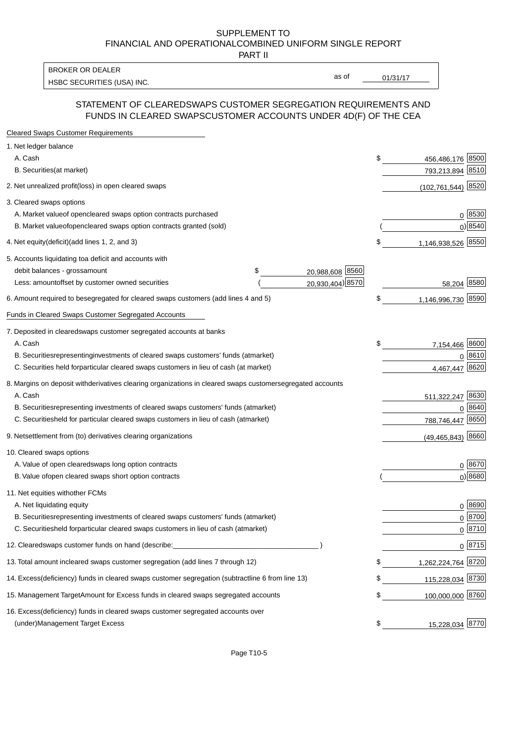PART II

HSBC SECURITIES (USA) INC. The state of the second second second second second second second second second second second second second second second second second second second second second second second second second sec BROKER OR DEALER

as of

### STATEMENT OF CLEARED SWAPS CUSTOMER SEGREGATION REQUIREMENTS AND FUNDS IN CLEARED SWAPS CUSTOMER ACCOUNTS UNDER 4D(F) OF THE CEA

| <b>Cleared Swaps Customer Requirements</b>                                                                  |    |                       |
|-------------------------------------------------------------------------------------------------------------|----|-----------------------|
| 1. Net ledger balance                                                                                       |    |                       |
| A. Cash                                                                                                     | \$ | 456,486,176 8500      |
| B. Securities (at market)                                                                                   |    | 793,213,894 8510      |
| 2. Net unrealized profit (loss) in open cleared swaps                                                       |    | (102,761,544) 8520    |
| 3. Cleared swaps options                                                                                    |    |                       |
| A. Market value of open cleared swaps option contracts purchased                                            |    | 0   8530              |
| B. Market value of open cleared swaps option contracts granted (sold)                                       |    | $0)$ 8540             |
| 4. Net equity (deficit) (add lines 1, 2, and 3)                                                             | \$ | 1,146,938,526 8550    |
| 5. Accounts liquidating to a deficit and accounts with                                                      |    |                       |
| 20,988,608 8560<br>debit balances - gross<br>\$<br>amount                                                   |    |                       |
| 20,930,404) 8570<br>Less: amount offset by customer owned securities                                        |    | 58,204 8580           |
| 6. Amount required to be segregated for cleared swaps customers (add lines 4 and 5)                         | S  | 1,146,996,730 8590    |
| Funds in Cleared Swaps Customer Segregated Accounts                                                         |    |                       |
| 7. Deposited in cleared swaps customer segregated accounts at banks                                         |    |                       |
| A. Cash                                                                                                     | \$ | 7,154,466 8600        |
| B. Securities representing investments of cleared swaps customers' funds (at market)                        |    | 0 8610                |
| C. Securities held for particular cleared swaps customers in lieu of cash (at market)                       |    | 8620<br>4,467,447     |
| 8. Margins on deposit with derivatives clearing organizations in cleared swaps customer segregated accounts |    |                       |
| A. Cash                                                                                                     |    | 511,322,247 8630      |
| representing investments of cleared swaps customers' funds (at market)<br><b>B.</b> Securities              |    | 8640<br>0             |
| C. Securities held for particular cleared swaps customers in lieu of cash (at market)                       |    | 8650<br>788,746,447   |
| 9. Net settlement from (to) derivatives clearing organizations                                              |    | $(49, 465, 843)$ 8660 |
| 10. Cleared swaps options                                                                                   |    |                       |
| A. Value of open cleared swaps long option contracts                                                        |    | $0^{8670}$            |
| B. Value of open cleared swaps short option contracts                                                       |    | $0$ ) 8680            |
| 11. Net equities with other FCMs                                                                            |    |                       |
| A. Net liquidating equity                                                                                   |    | $0^{8690}$            |
| B. Securities representing investments of cleared swaps customers' funds (at market)                        |    | $0^{8700}$            |
| C. Securities held for particular cleared swaps customers in lieu of cash (at market)                       |    | 0 8710                |
| 12. Cleared swaps customer funds on hand (describe:                                                         |    | $0 \;  8715 $         |
| 13. Total amount in cleared swaps customer segregation (add lines 7 through 12)                             | S  | 1,262,224,764 8720    |
| 14. Excess (deficiency) funds in cleared swaps customer segregation (subtract line 6 from line 13)          |    | 115,228,034 8730      |
| 15. Management Target Amount for Excess funds in cleared swaps segregated accounts                          | \$ | 100,000,000 8760      |
| 16. Excess<br>(deficiency) funds in cleared swaps customer segregated accounts over                         |    |                       |
| <b>Management Target Excess</b><br>(under)                                                                  | \$ | 15,228,034 8770       |